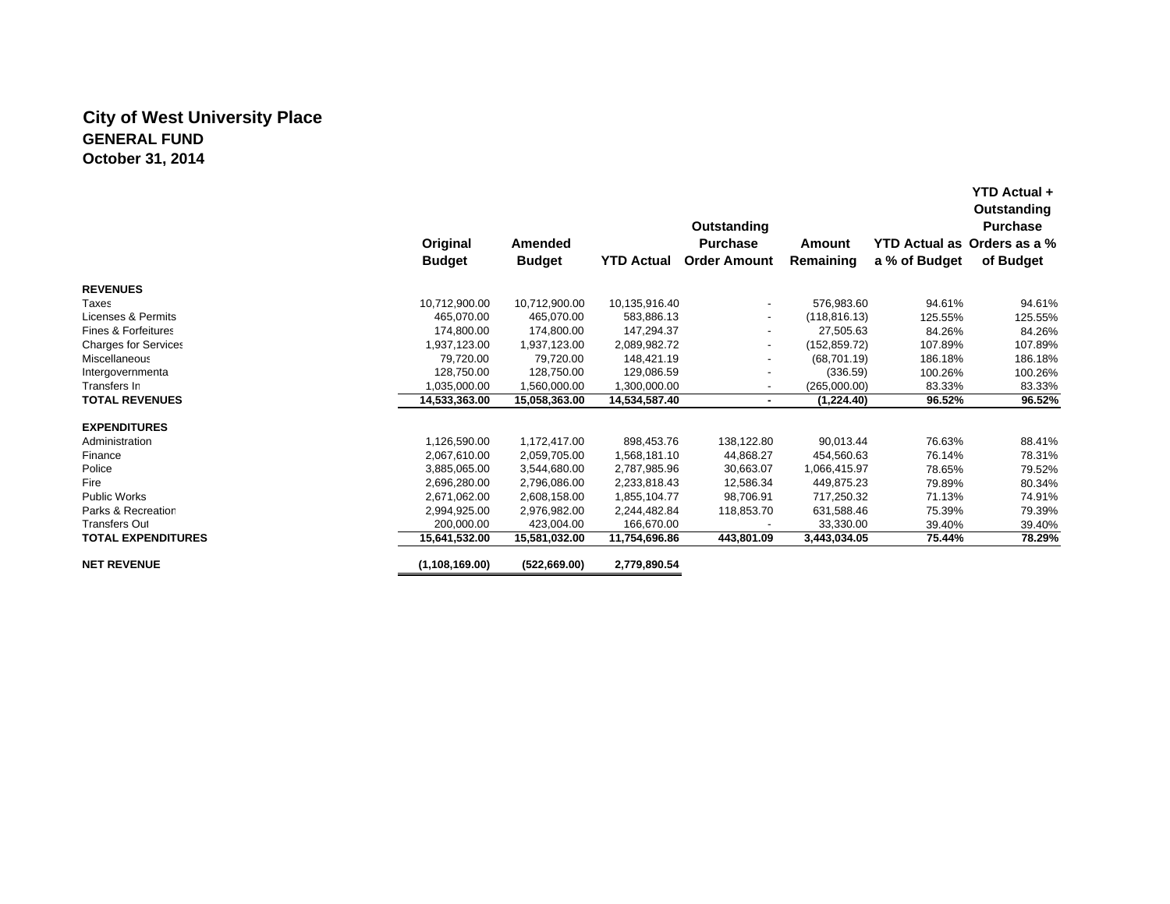### **City of West University Place GENERAL FUNDOctober 31, 2014**

|                                |                  |               |                   | Outstanding              |               |                      | YTD Actual +<br>Outstanding<br><b>Purchase</b> |
|--------------------------------|------------------|---------------|-------------------|--------------------------|---------------|----------------------|------------------------------------------------|
|                                | Original         | Amended       |                   | <b>Purchase</b>          | Amount        | <b>YTD Actual as</b> | Orders as a %                                  |
|                                | <b>Budget</b>    | <b>Budget</b> | <b>YTD Actual</b> | <b>Order Amount</b>      | Remaining     | a % of Budget        | of Budget                                      |
| <b>REVENUES</b>                |                  |               |                   |                          |               |                      |                                                |
| Taxes                          | 10,712,900.00    | 10,712,900.00 | 10,135,916.40     | $\overline{\phantom{a}}$ | 576,983.60    | 94.61%               | 94.61%                                         |
| Licenses & Permits             | 465.070.00       | 465,070.00    | 583,886.13        | $\overline{\phantom{a}}$ | (118, 816.13) | 125.55%              | 125.55%                                        |
| <b>Fines &amp; Forfeitures</b> | 174,800.00       | 174.800.00    | 147.294.37        |                          | 27.505.63     | 84.26%               | 84.26%                                         |
| <b>Charges for Services</b>    | 1,937,123.00     | 1,937,123.00  | 2,089,982.72      | $\blacksquare$           | (152, 859.72) | 107.89%              | 107.89%                                        |
| Miscellaneous                  | 79,720.00        | 79.720.00     | 148,421.19        | $\overline{\phantom{a}}$ | (68, 701.19)  | 186.18%              | 186.18%                                        |
| Intergovernmenta               | 128.750.00       | 128.750.00    | 129,086.59        |                          | (336.59)      | 100.26%              | 100.26%                                        |
| Transfers In                   | 1,035,000.00     | 1,560,000.00  | 1,300,000.00      | $\overline{\phantom{a}}$ | (265,000.00)  | 83.33%               | 83.33%                                         |
| <b>TOTAL REVENUES</b>          | 14,533,363.00    | 15,058,363.00 | 14,534,587.40     | $\blacksquare$           | (1,224.40)    | 96.52%               | 96.52%                                         |
| <b>EXPENDITURES</b>            |                  |               |                   |                          |               |                      |                                                |
| Administration                 | 1,126,590.00     | 1,172,417.00  | 898,453.76        | 138,122.80               | 90,013.44     | 76.63%               | 88.41%                                         |
| Finance                        | 2,067,610.00     | 2,059,705.00  | 1,568,181.10      | 44,868.27                | 454,560.63    | 76.14%               | 78.31%                                         |
| Police                         | 3,885,065.00     | 3,544,680.00  | 2,787,985.96      | 30,663.07                | 1,066,415.97  | 78.65%               | 79.52%                                         |
| Fire                           | 2,696,280.00     | 2,796,086.00  | 2,233,818.43      | 12,586.34                | 449,875.23    | 79.89%               | 80.34%                                         |
| Public Works                   | 2,671,062.00     | 2,608,158.00  | 1,855,104.77      | 98,706.91                | 717,250.32    | 71.13%               | 74.91%                                         |
| Parks & Recreation             | 2,994,925.00     | 2,976,982.00  | 2,244,482.84      | 118,853.70               | 631,588.46    | 75.39%               | 79.39%                                         |
| <b>Transfers Out</b>           | 200,000.00       | 423,004.00    | 166,670.00        |                          | 33,330.00     | 39.40%               | 39.40%                                         |
| <b>TOTAL EXPENDITURES</b>      | 15,641,532.00    | 15,581,032.00 | 11,754,696.86     | 443,801.09               | 3,443,034.05  | 75.44%               | 78.29%                                         |
| <b>NET REVENUE</b>             | (1, 108, 169.00) | (522, 669.00) | 2,779,890.54      |                          |               |                      |                                                |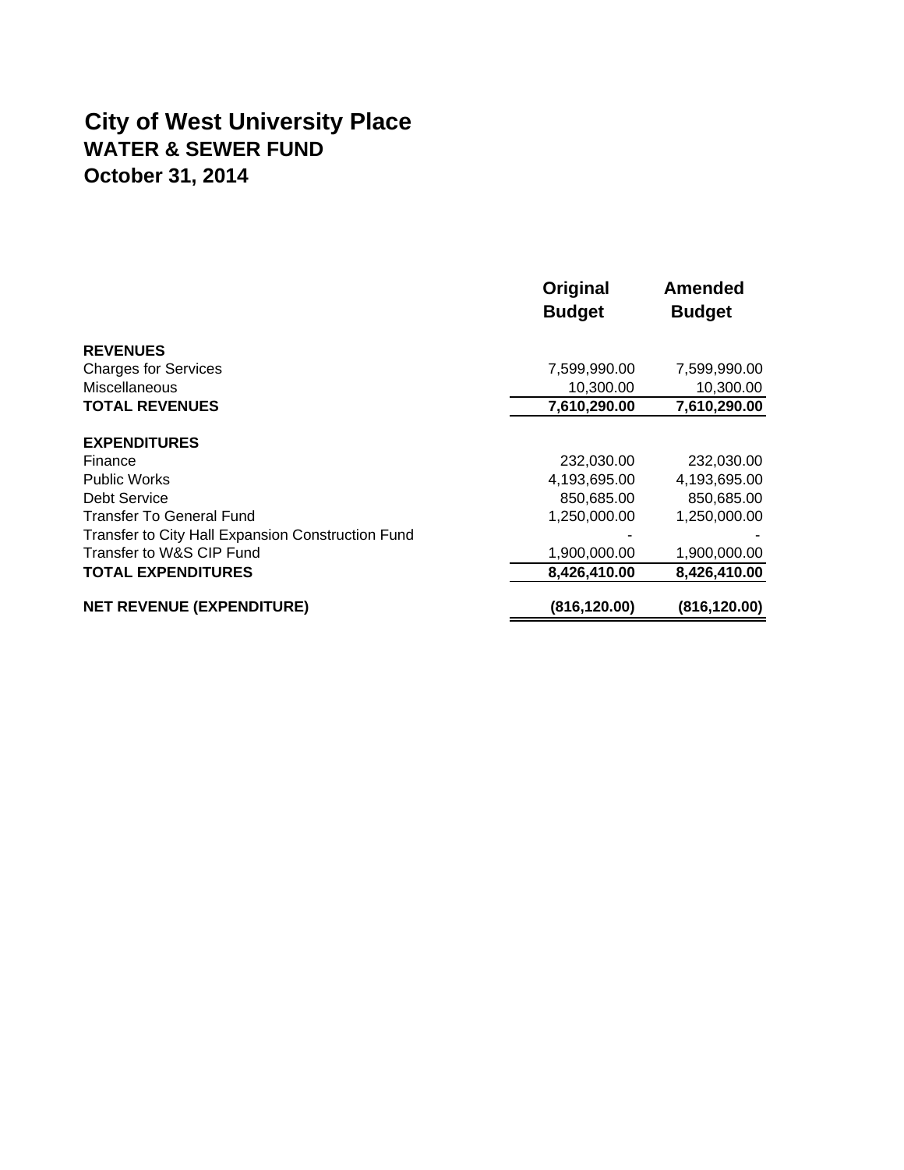# **City of West University Place WATER & SEWER FUND October 31, 2014**

|                                                   | Original<br><b>Budget</b> | <b>Amended</b><br><b>Budget</b> |
|---------------------------------------------------|---------------------------|---------------------------------|
| <b>REVENUES</b>                                   |                           |                                 |
| <b>Charges for Services</b>                       | 7,599,990.00              | 7,599,990.00                    |
| <b>Miscellaneous</b>                              | 10,300.00                 | 10,300.00                       |
| <b>TOTAL REVENUES</b>                             | 7,610,290.00              | 7,610,290.00                    |
| <b>EXPENDITURES</b>                               |                           |                                 |
| Finance                                           | 232,030.00                | 232,030.00                      |
| <b>Public Works</b>                               | 4,193,695.00              | 4,193,695.00                    |
| Debt Service                                      | 850,685.00                | 850,685.00                      |
| Transfer To General Fund                          | 1,250,000.00              | 1,250,000.00                    |
| Transfer to City Hall Expansion Construction Fund |                           |                                 |
| Transfer to W&S CIP Fund                          | 1,900,000.00              | 1,900,000.00                    |
| <b>TOTAL EXPENDITURES</b>                         | 8,426,410.00              | 8,426,410.00                    |
| <b>NET REVENUE (EXPENDITURE)</b>                  | (816, 120.00)             | (816, 120.00)                   |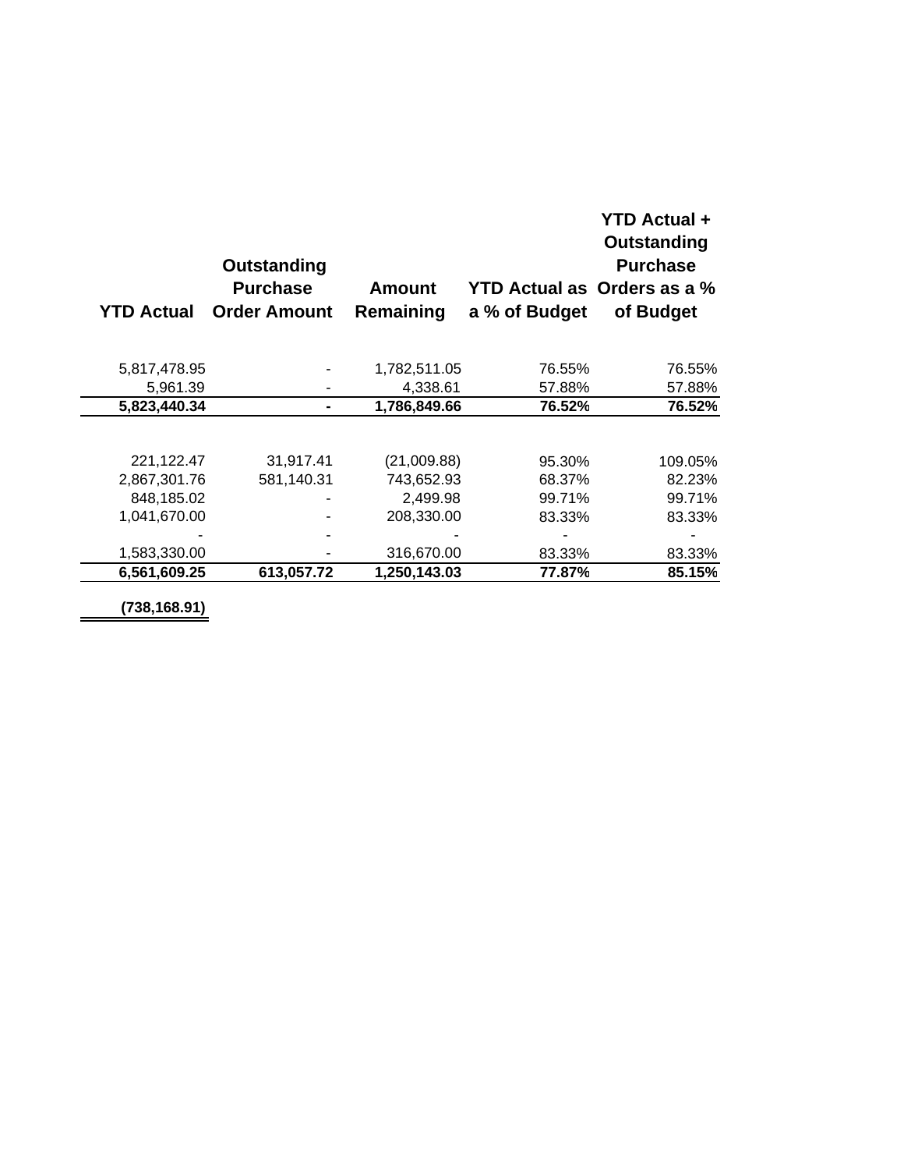| <b>YTD Actual</b> | Outstanding<br><b>Purchase</b><br><b>Order Amount</b> | <b>Amount</b><br>Remaining | YTD Actual as Orders as a %<br>a % of Budget | <b>YTD Actual +</b><br>Outstanding<br><b>Purchase</b><br>of Budget |
|-------------------|-------------------------------------------------------|----------------------------|----------------------------------------------|--------------------------------------------------------------------|
| 5,817,478.95      |                                                       | 1,782,511.05               | 76.55%                                       | 76.55%                                                             |
| 5,961.39          |                                                       | 4,338.61                   | 57.88%                                       | 57.88%                                                             |
| 5,823,440.34      |                                                       | 1,786,849.66               | 76.52%                                       | 76.52%                                                             |
|                   |                                                       |                            |                                              |                                                                    |
| 221,122.47        | 31,917.41                                             | (21,009.88)                | 95.30%                                       | 109.05%                                                            |
| 2,867,301.76      | 581,140.31                                            | 743,652.93                 | 68.37%                                       | 82.23%                                                             |
| 848,185.02        |                                                       | 2,499.98                   | 99.71%                                       | 99.71%                                                             |
| 1,041,670.00      |                                                       | 208,330.00                 | 83.33%                                       | 83.33%                                                             |
|                   |                                                       |                            |                                              |                                                                    |
| 1,583,330.00      |                                                       | 316,670.00                 | 83.33%                                       | 83.33%                                                             |
| 6,561,609.25      | 613,057.72                                            | 1,250,143.03               | 77.87%                                       | 85.15%                                                             |
|                   |                                                       |                            |                                              |                                                                    |

 **(738,168.91)**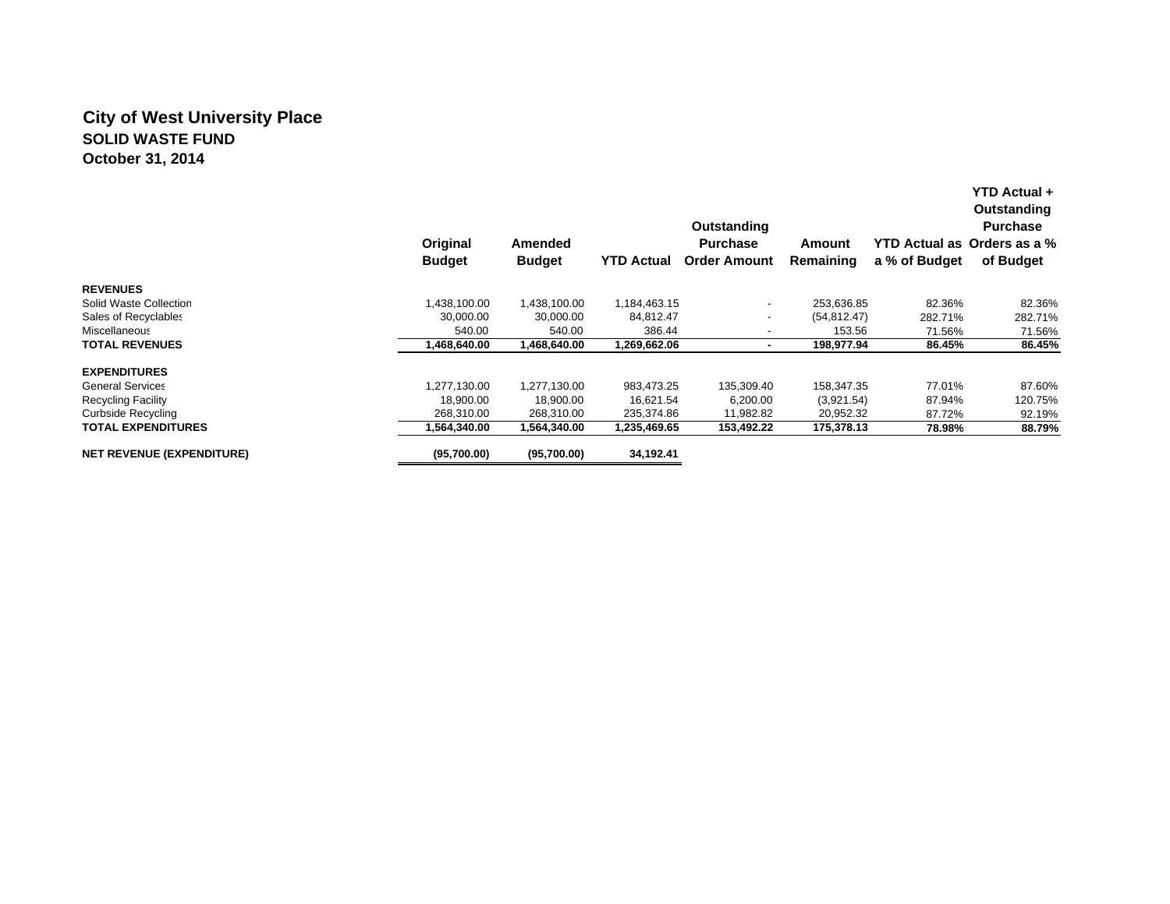### **City of West University Place SOLID WASTE FUNDOctober 31, 2014**

|                                  | Original<br><b>Budget</b> | Amended<br><b>Budget</b> | <b>YTD Actual</b> | Outstanding<br><b>Purchase</b><br><b>Order Amount</b> | Amount<br>Remaining | YTD Actual as Orders as a %<br>a % of Budget | YTD Actual +<br>Outstanding<br><b>Purchase</b><br>of Budget |
|----------------------------------|---------------------------|--------------------------|-------------------|-------------------------------------------------------|---------------------|----------------------------------------------|-------------------------------------------------------------|
| <b>REVENUES</b>                  |                           |                          |                   |                                                       |                     |                                              |                                                             |
| Solid Waste Collection           | 1,438,100.00              | 1,438,100.00             | 1,184,463.15      | $\overline{\phantom{a}}$                              | 253,636.85          | 82.36%                                       | 82.36%                                                      |
| Sales of Recyclables             | 30,000.00                 | 30,000.00                | 84,812.47         | ٠                                                     | (54, 812.47)        | 282.71%                                      | 282.71%                                                     |
| Miscellaneous                    | 540.00                    | 540.00                   | 386.44            |                                                       | 153.56              | 71.56%                                       | 71.56%                                                      |
| <b>TOTAL REVENUES</b>            | ,468,640.00               | 1,468,640.00             | 1,269,662.06      | ۰                                                     | 198,977.94          | 86.45%                                       | 86.45%                                                      |
| <b>EXPENDITURES</b>              |                           |                          |                   |                                                       |                     |                                              |                                                             |
| <b>General Services</b>          | 1,277,130.00              | 1,277,130.00             | 983,473.25        | 135,309.40                                            | 158,347.35          | 77.01%                                       | 87.60%                                                      |
| <b>Recycling Facility</b>        | 18,900.00                 | 18,900.00                | 16,621.54         | 6,200.00                                              | (3,921.54)          | 87.94%                                       | 120.75%                                                     |
| Curbside Recycling               | 268,310.00                | 268,310.00               | 235,374.86        | 11,982.82                                             | 20,952.32           | 87.72%                                       | 92.19%                                                      |
| <b>TOTAL EXPENDITURES</b>        | ,564,340.00               | 1,564,340.00             | 1,235,469.65      | 153,492.22                                            | 175,378.13          | 78.98%                                       | 88.79%                                                      |
| <b>NET REVENUE (EXPENDITURE)</b> | (95,700.00)               | (95,700.00)              | 34,192.41         |                                                       |                     |                                              |                                                             |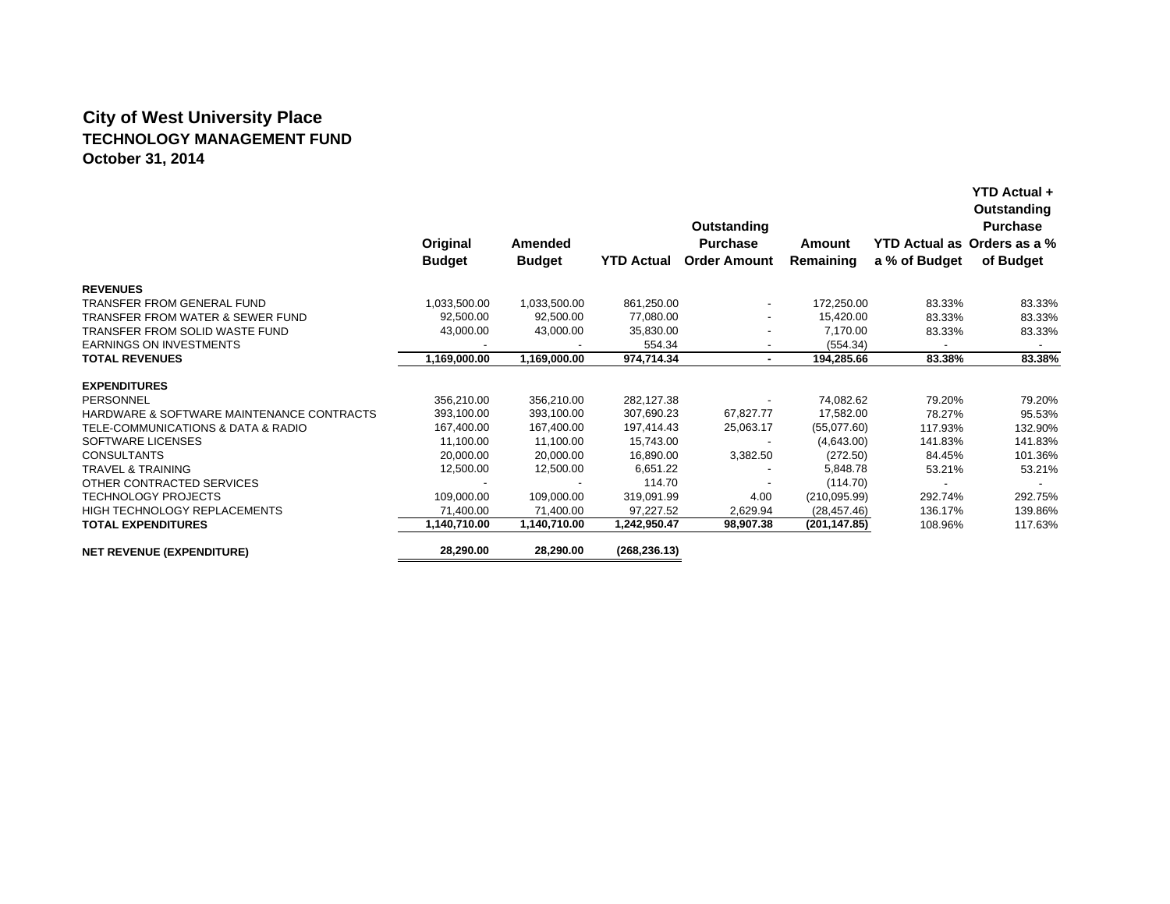## **City of West University Place TECHNOLOGY MANAGEMENT FUND October 31, 2014**

|                                           |               |               |                   | Outstanding         |               |               | Outstanding<br><b>Purchase</b> |  |
|-------------------------------------------|---------------|---------------|-------------------|---------------------|---------------|---------------|--------------------------------|--|
|                                           | Original      | Amended       |                   | <b>Purchase</b>     | Amount        |               | YTD Actual as Orders as a %    |  |
|                                           | <b>Budget</b> | <b>Budget</b> | <b>YTD Actual</b> | <b>Order Amount</b> | Remaining     | a % of Budget | of Budget                      |  |
| <b>REVENUES</b>                           |               |               |                   |                     |               |               |                                |  |
| TRANSFER FROM GENERAL FUND                | 1,033,500.00  | 1,033,500.00  | 861,250.00        |                     | 172,250.00    | 83.33%        | 83.33%                         |  |
| TRANSFER FROM WATER & SEWER FUND          | 92,500.00     | 92,500.00     | 77,080.00         |                     | 15,420.00     | 83.33%        | 83.33%                         |  |
| TRANSFER FROM SOLID WASTE FUND            | 43,000.00     | 43,000.00     | 35,830.00         |                     | 7,170.00      | 83.33%        | 83.33%                         |  |
| <b>EARNINGS ON INVESTMENTS</b>            |               |               | 554.34            |                     | (554.34)      | $\sim$        |                                |  |
| <b>TOTAL REVENUES</b>                     | 1,169,000.00  | 1,169,000.00  | 974,714.34        | ٠                   | 194,285.66    | 83.38%        | 83.38%                         |  |
| <b>EXPENDITURES</b>                       |               |               |                   |                     |               |               |                                |  |
| PERSONNEL                                 | 356,210.00    | 356,210.00    | 282,127.38        |                     | 74,082.62     | 79.20%        | 79.20%                         |  |
| HARDWARE & SOFTWARE MAINTENANCE CONTRACTS | 393,100.00    | 393,100.00    | 307,690.23        | 67,827.77           | 17,582.00     | 78.27%        | 95.53%                         |  |
| TELE-COMMUNICATIONS & DATA & RADIO        | 167,400.00    | 167,400.00    | 197,414.43        | 25,063.17           | (55,077.60)   | 117.93%       | 132.90%                        |  |
| SOFTWARE LICENSES                         | 11,100.00     | 11,100.00     | 15,743.00         |                     | (4,643.00)    | 141.83%       | 141.83%                        |  |
| <b>CONSULTANTS</b>                        | 20,000.00     | 20,000.00     | 16,890.00         | 3,382.50            | (272.50)      | 84.45%        | 101.36%                        |  |
| <b>TRAVEL &amp; TRAINING</b>              | 12,500.00     | 12,500.00     | 6,651.22          |                     | 5,848.78      | 53.21%        | 53.21%                         |  |
| OTHER CONTRACTED SERVICES                 |               |               | 114.70            |                     | (114.70)      |               | $\sim$                         |  |
| <b>TECHNOLOGY PROJECTS</b>                | 109,000.00    | 109,000.00    | 319,091.99        | 4.00                | (210,095.99)  | 292.74%       | 292.75%                        |  |
| <b>HIGH TECHNOLOGY REPLACEMENTS</b>       | 71,400.00     | 71,400.00     | 97.227.52         | 2,629.94            | (28, 457.46)  | 136.17%       | 139.86%                        |  |
| <b>TOTAL EXPENDITURES</b>                 | 1,140,710.00  | 1.140.710.00  | 1.242.950.47      | 98,907.38           | (201, 147.85) | 108.96%       | 117.63%                        |  |
| <b>NET REVENUE (EXPENDITURE)</b>          | 28,290.00     | 28,290.00     | (268, 236.13)     |                     |               |               |                                |  |

**YTD Actual +**